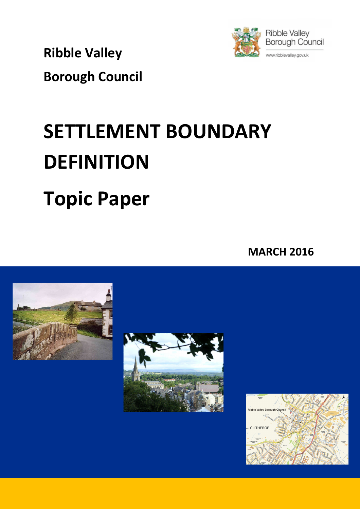Ribble Valley



Borough Council

# SETTLEMENT BOUNDARY **DEFINITION** Topic Paper

MARCH 2016





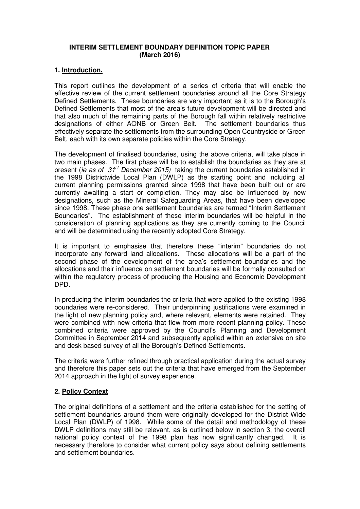# **INTERIM SETTLEMENT BOUNDARY DEFINITION TOPIC PAPER (March 2016)**

## **1. Introduction.**

This report outlines the development of a series of criteria that will enable the effective review of the current settlement boundaries around all the Core Strategy Defined Settlements. These boundaries are very important as it is to the Borough's Defined Settlements that most of the area's future development will be directed and that also much of the remaining parts of the Borough fall within relatively restrictive designations of either AONB or Green Belt. The settlement boundaries thus effectively separate the settlements from the surrounding Open Countryside or Green Belt, each with its own separate policies within the Core Strategy.

The development of finalised boundaries, using the above criteria, will take place in two main phases. The first phase will be to establish the boundaries as they are at present (ie as of  $31^{st}$  December 2015) taking the current boundaries established in the 1998 Districtwide Local Plan (DWLP) as the starting point and including all current planning permissions granted since 1998 that have been built out or are currently awaiting a start or completion. They may also be influenced by new designations, such as the Mineral Safeguarding Areas, that have been developed since 1998. These phase one settlement boundaries are termed "Interim Settlement Boundaries". The establishment of these interim boundaries will be helpful in the consideration of planning applications as they are currently coming to the Council and will be determined using the recently adopted Core Strategy.

It is important to emphasise that therefore these "interim" boundaries do not incorporate any forward land allocations. These allocations will be a part of the second phase of the development of the area's settlement boundaries and the allocations and their influence on settlement boundaries will be formally consulted on within the regulatory process of producing the Housing and Economic Development DPD.

In producing the interim boundaries the criteria that were applied to the existing 1998 boundaries were re-considered. Their underpinning justifications were examined in the light of new planning policy and, where relevant, elements were retained. They were combined with new criteria that flow from more recent planning policy. These combined criteria were approved by the Council's Planning and Development Committee in September 2014 and subsequently applied within an extensive on site and desk based survey of all the Borough's Defined Settlements.

The criteria were further refined through practical application during the actual survey and therefore this paper sets out the criteria that have emerged from the September 2014 approach in the light of survey experience.

## **2. Policy Context**

The original definitions of a settlement and the criteria established for the setting of settlement boundaries around them were originally developed for the District Wide Local Plan (DWLP) of 1998. While some of the detail and methodology of these DWLP definitions may still be relevant, as is outlined below in section 3, the overall national policy context of the 1998 plan has now significantly changed. It is necessary therefore to consider what current policy says about defining settlements and settlement boundaries.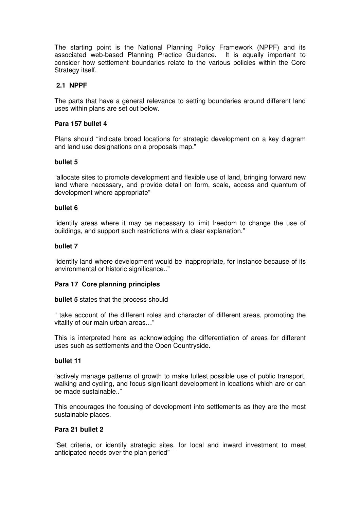The starting point is the National Planning Policy Framework (NPPF) and its associated web-based Planning Practice Guidance. It is equally important to consider how settlement boundaries relate to the various policies within the Core Strategy itself.

# **2.1 NPPF**

The parts that have a general relevance to setting boundaries around different land uses within plans are set out below.

## **Para 157 bullet 4**

Plans should "indicate broad locations for strategic development on a key diagram and land use designations on a proposals map."

## **bullet 5**

"allocate sites to promote development and flexible use of land, bringing forward new land where necessary, and provide detail on form, scale, access and quantum of development where appropriate"

## **bullet 6**

"identify areas where it may be necessary to limit freedom to change the use of buildings, and support such restrictions with a clear explanation."

## **bullet 7**

"identify land where development would be inappropriate, for instance because of its environmental or historic significance.."

## **Para 17 Core planning principles**

**bullet 5** states that the process should

" take account of the different roles and character of different areas, promoting the vitality of our main urban areas…"

This is interpreted here as acknowledging the differentiation of areas for different uses such as settlements and the Open Countryside.

# **bullet 11**

"actively manage patterns of growth to make fullest possible use of public transport, walking and cycling, and focus significant development in locations which are or can be made sustainable.."

This encourages the focusing of development into settlements as they are the most sustainable places.

#### **Para 21 bullet 2**

"Set criteria, or identify strategic sites, for local and inward investment to meet anticipated needs over the plan period"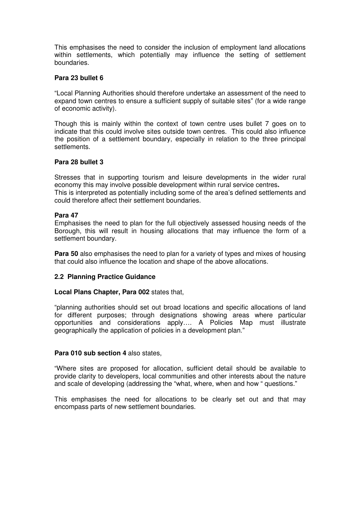This emphasises the need to consider the inclusion of employment land allocations within settlements, which potentially may influence the setting of settlement boundaries.

## **Para 23 bullet 6**

"Local Planning Authorities should therefore undertake an assessment of the need to expand town centres to ensure a sufficient supply of suitable sites" (for a wide range of economic activity).

Though this is mainly within the context of town centre uses bullet 7 goes on to indicate that this could involve sites outside town centres. This could also influence the position of a settlement boundary, especially in relation to the three principal settlements.

## **Para 28 bullet 3**

Stresses that in supporting tourism and leisure developments in the wider rural economy this may involve possible development within rural service centres**.**  This is interpreted as potentially including some of the area's defined settlements and could therefore affect their settlement boundaries.

## **Para 47**

Emphasises the need to plan for the full objectively assessed housing needs of the Borough, this will result in housing allocations that may influence the form of a settlement boundary.

**Para 50** also emphasises the need to plan for a variety of types and mixes of housing that could also influence the location and shape of the above allocations.

## **2.2 Planning Practice Guidance**

## **Local Plans Chapter, Para 002** states that,

"planning authorities should set out broad locations and specific allocations of land for different purposes; through designations showing areas where particular opportunities and considerations apply…. A Policies Map must illustrate geographically the application of policies in a development plan."

#### **Para 010 sub section 4** also states,

"Where sites are proposed for allocation, sufficient detail should be available to provide clarity to developers, local communities and other interests about the nature and scale of developing (addressing the "what, where, when and how " questions."

This emphasises the need for allocations to be clearly set out and that may encompass parts of new settlement boundaries.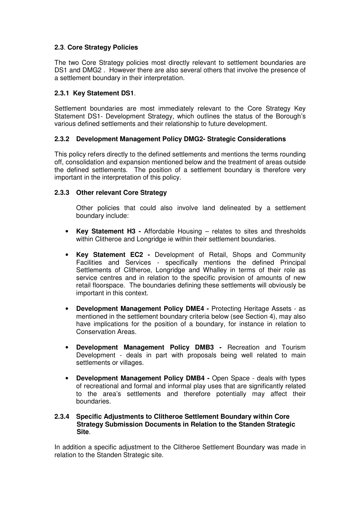# **2.3**. **Core Strategy Policies**

The two Core Strategy policies most directly relevant to settlement boundaries are DS1 and DMG2 . However there are also several others that involve the presence of a settlement boundary in their interpretation.

# **2.3.1 Key Statement DS1**.

Settlement boundaries are most immediately relevant to the Core Strategy Key Statement DS1- Development Strategy, which outlines the status of the Borough's various defined settlements and their relationship to future development.

## **2.3.2 Development Management Policy DMG2- Strategic Considerations**

This policy refers directly to the defined settlements and mentions the terms rounding off, consolidation and expansion mentioned below and the treatment of areas outside the defined settlements. The position of a settlement boundary is therefore very important in the interpretation of this policy.

## **2.3.3 Other relevant Core Strategy**

Other policies that could also involve land delineated by a settlement boundary include:

- **Key Statement H3 -** Affordable Housing relates to sites and thresholds within Clitheroe and Longridge ie within their settlement boundaries.
- **Key Statement EC2 -** Development of Retail, Shops and Community Facilities and Services - specifically mentions the defined Principal Settlements of Clitheroe, Longridge and Whalley in terms of their role as service centres and in relation to the specific provision of amounts of new retail floorspace. The boundaries defining these settlements will obviously be important in this context.
- **Development Management Policy DME4 -** Protecting Heritage Assets as mentioned in the settlement boundary criteria below (see Section 4), may also have implications for the position of a boundary, for instance in relation to Conservation Areas.
- **Development Management Policy DMB3 -** Recreation and Tourism Development - deals in part with proposals being well related to main settlements or villages.
- **Development Management Policy DMB4 -** Open Space deals with types of recreational and formal and informal play uses that are significantly related to the area's settlements and therefore potentially may affect their boundaries.

## **2.3.4 Specific Adjustments to Clitheroe Settlement Boundary within Core Strategy Submission Documents in Relation to the Standen Strategic Site**.

In addition a specific adjustment to the Clitheroe Settlement Boundary was made in relation to the Standen Strategic site.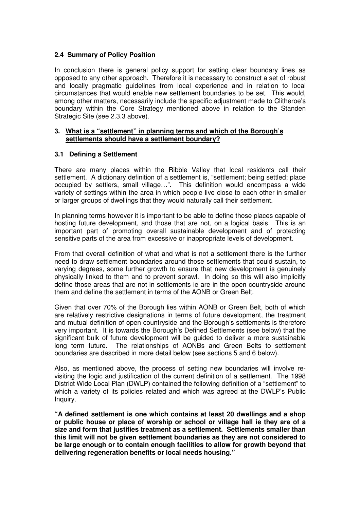# **2.4 Summary of Policy Position**

In conclusion there is general policy support for setting clear boundary lines as opposed to any other approach. Therefore it is necessary to construct a set of robust and locally pragmatic guidelines from local experience and in relation to local circumstances that would enable new settlement boundaries to be set. This would, among other matters, necessarily include the specific adjustment made to Clitheroe's boundary within the Core Strategy mentioned above in relation to the Standen Strategic Site (see 2.3.3 above).

## **3. What is a "settlement" in planning terms and which of the Borough's settlements should have a settlement boundary?**

# **3.1 Defining a Settlement**

There are many places within the Ribble Valley that local residents call their settlement. A dictionary definition of a settlement is, "settlement; being settled; place occupied by settlers, small village…". This definition would encompass a wide variety of settings within the area in which people live close to each other in smaller or larger groups of dwellings that they would naturally call their settlement.

In planning terms however it is important to be able to define those places capable of hosting future development, and those that are not, on a logical basis. This is an important part of promoting overall sustainable development and of protecting sensitive parts of the area from excessive or inappropriate levels of development.

From that overall definition of what and what is not a settlement there is the further need to draw settlement boundaries around those settlements that could sustain, to varying degrees, some further growth to ensure that new development is genuinely physically linked to them and to prevent sprawl. In doing so this will also implicitly define those areas that are not in settlements ie are in the open countryside around them and define the settlement in terms of the AONB or Green Belt.

Given that over 70% of the Borough lies within AONB or Green Belt, both of which are relatively restrictive designations in terms of future development, the treatment and mutual definition of open countryside and the Borough's settlements is therefore very important. It is towards the Borough's Defined Settlements (see below) that the significant bulk of future development will be guided to deliver a more sustainable long term future. The relationships of AONBs and Green Belts to settlement boundaries are described in more detail below (see sections 5 and 6 below).

Also, as mentioned above, the process of setting new boundaries will involve revisiting the logic and justification of the current definition of a settlement. The 1998 District Wide Local Plan (DWLP) contained the following definition of a "settlement" to which a variety of its policies related and which was agreed at the DWLP's Public Inquiry.

**"A defined settlement is one which contains at least 20 dwellings and a shop or public house or place of worship or school or village hall ie they are of a size and form that justifies treatment as a settlement. Settlements smaller than this limit will not be given settlement boundaries as they are not considered to be large enough or to contain enough facilities to allow for growth beyond that delivering regeneration benefits or local needs housing."**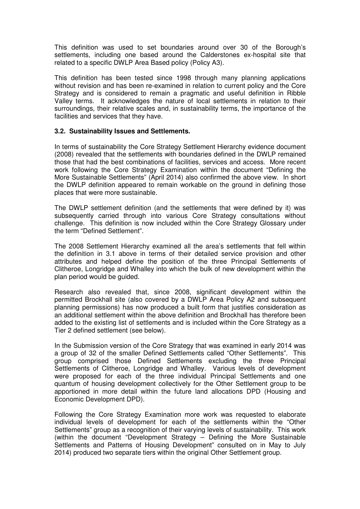This definition was used to set boundaries around over 30 of the Borough's settlements, including one based around the Calderstones ex-hospital site that related to a specific DWLP Area Based policy (Policy A3).

This definition has been tested since 1998 through many planning applications without revision and has been re-examined in relation to current policy and the Core Strategy and is considered to remain a pragmatic and useful definition in Ribble Valley terms. It acknowledges the nature of local settlements in relation to their surroundings, their relative scales and, in sustainability terms, the importance of the facilities and services that they have.

# **3.2. Sustainability Issues and Settlements.**

In terms of sustainability the Core Strategy Settlement Hierarchy evidence document (2008) revealed that the settlements with boundaries defined in the DWLP remained those that had the best combinations of facilities, services and access. More recent work following the Core Strategy Examination within the document "Defining the More Sustainable Settlements" (April 2014) also confirmed the above view. In short the DWLP definition appeared to remain workable on the ground in defining those places that were more sustainable.

The DWLP settlement definition (and the settlements that were defined by it) was subsequently carried through into various Core Strategy consultations without challenge. This definition is now included within the Core Strategy Glossary under the term "Defined Settlement".

The 2008 Settlement Hierarchy examined all the area's settlements that fell within the definition in 3.1 above in terms of their detailed service provision and other attributes and helped define the position of the three Principal Settlements of Clitheroe, Longridge and Whalley into which the bulk of new development within the plan period would be guided.

Research also revealed that, since 2008, significant development within the permitted Brockhall site (also covered by a DWLP Area Policy A2 and subsequent planning permissions) has now produced a built form that justifies consideration as an additional settlement within the above definition and Brockhall has therefore been added to the existing list of settlements and is included within the Core Strategy as a Tier 2 defined settlement (see below).

In the Submission version of the Core Strategy that was examined in early 2014 was a group of 32 of the smaller Defined Settlements called "Other Settlements". This group comprised those Defined Settlements excluding the three Principal Settlements of Clitheroe, Longridge and Whalley. Various levels of development were proposed for each of the three individual Principal Settlements and one quantum of housing development collectively for the Other Settlement group to be apportioned in more detail within the future land allocations DPD (Housing and Economic Development DPD).

Following the Core Strategy Examination more work was requested to elaborate individual levels of development for each of the settlements within the "Other Settlements" group as a recognition of their varying levels of sustainability. This work (within the document "Development Strategy – Defining the More Sustainable Settlements and Patterns of Housing Development" consulted on in May to July 2014) produced two separate tiers within the original Other Settlement group.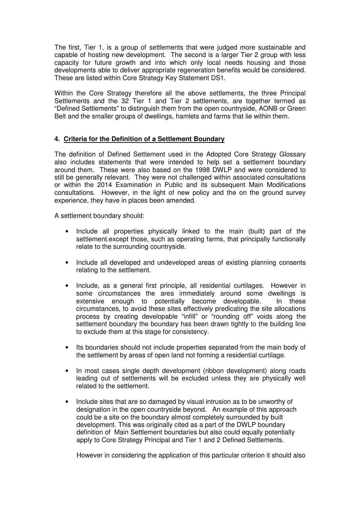The first, Tier 1, is a group of settlements that were judged more sustainable and capable of hosting new development. The second is a larger Tier 2 group with less capacity for future growth and into which only local needs housing and those developments able to deliver appropriate regeneration benefits would be considered. These are listed within Core Strategy Key Statement DS1.

Within the Core Strategy therefore all the above settlements, the three Principal Settlements and the 32 Tier 1 and Tier 2 settlements, are together termed as "Defined Settlements" to distinguish them from the open countryside, AONB or Green Belt and the smaller groups of dwellings, hamlets and farms that lie within them.

# **4. Criteria for the Definition of a Settlement Boundary**

The definition of Defined Settlement used in the Adopted Core Strategy Glossary also includes statements that were intended to help set a settlement boundary around them. These were also based on the 1998 DWLP and were considered to still be generally relevant. They were not challenged within associated consultations or within the 2014 Examination in Public and its subsequent Main Modifications consultations. However, in the light of new policy and the on the ground survey experience, they have in places been amended.

A settlement boundary should:

- Include all properties physically linked to the main (built) part of the settlement.except those, such as operating farms, that principally functionally relate to the surrounding countryside.
- Include all developed and undeveloped areas of existing planning consents relating to the settlement.
- Include, as a general first principle, all residential curtilages. However in some circumstances the area immediately around some dwellings is extensive enough to potentially become developable. In these circumstances, to avoid these sites effectively predicating the site allocations process by creating developable "infill" or "rounding off" voids along the settlement boundary the boundary has been drawn tightly to the building line to exclude them at this stage for consistency.
- Its boundaries should not include properties separated from the main body of the settlement by areas of open land not forming a residential curtilage.
- In most cases single depth development (ribbon development) along roads leading out of settlements will be excluded unless they are physically well related to the settlement.
- Include sites that are so damaged by visual intrusion as to be unworthy of designation in the open countryside beyond. An example of this approach could be a site on the boundary almost completely surrounded by built development. This was originally cited as a part of the DWLP boundary definition of Main Settlement boundaries but also could equally potentially apply to Core Strategy Principal and Tier 1 and 2 Defined Settlements.

However in considering the application of this particular criterion it should also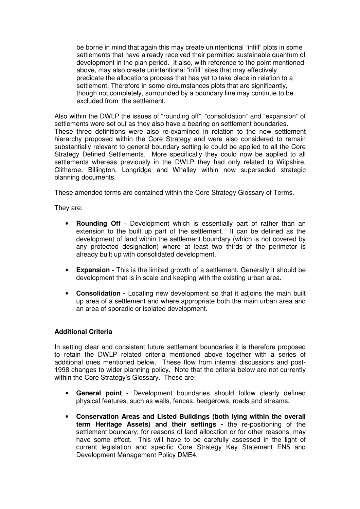be borne in mind that again this may create unintentional "infill" plots in some settlements that have already received their permitted sustainable quantum of development in the plan period. It also, with reference to the point mentioned above, may also create unintentional "infill" sites that may effectively predicate the allocations process that has yet to take place in relation to a settlement. Therefore in some circumstances plots that are significantly, though not completely, surrounded by a boundary line may continue to be excluded from the settlement.

Also within the DWLP the issues of "rounding off", "consolidation" and "expansion" of settlements were set out as they also have a bearing on settlement boundaries. These three definitions were also re-examined in relation to the new settlement hierarchy proposed within the Core Strategy and were also considered to remain substantially relevant to general boundary setting ie could be applied to all the Core Strategy Defined Settlements. More specifically they could now be applied to all settlements whereas previously in the DWLP they had only related to Wilpshire, Clitheroe, Billington, Longridge and Whalley within now superseded strategic planning documents.

These amended terms are contained within the Core Strategy Glossary of Terms.

They are:

- **Rounding Off** Development which is essentially part of rather than an extension to the built up part of the settlement. It can be defined as the development of land within the settlement boundary (which is not covered by any protected designation) where at least two thirds of the perimeter is already built up with consolidated development.
- **Expansion** This is the limited growth of a settlement. Generally it should be development that is in scale and keeping with the existing urban area.
- **Consolidation -** Locating new development so that it adjoins the main built up area of a settlement and where appropriate both the main urban area and an area of sporadic or isolated development.

## **Additional Criteria**

In setting clear and consistent future settlement boundaries it is therefore proposed to retain the DWLP related criteria mentioned above together with a series of additional ones mentioned below. These flow from internal discussions and post-1998 changes to wider planning policy. Note that the criteria below are not currently within the Core Strategy's Glossary. These are:

- **General point -** Development boundaries should follow clearly defined physical features, such as walls, fences, hedgerows, roads and streams.
- **Conservation Areas and Listed Buildings (both lying within the overall term Heritage Assets) and their settings -** the re-positioning of the settlement boundary, for reasons of land allocation or for other reasons, may have some effect. This will have to be carefully assessed in the light of current legislation and specific Core Strategy Key Statement EN5 and Development Management Policy DME4.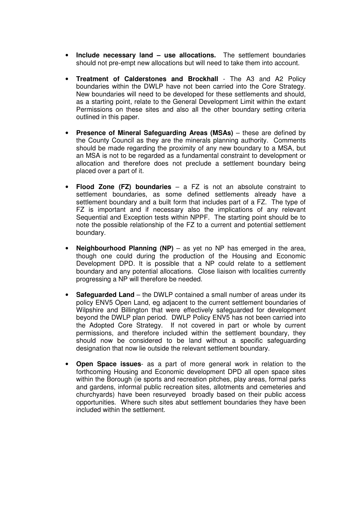- **Include necessary land use allocations.** The settlement boundaries should not pre-empt new allocations but will need to take them into account.
- **Treatment of Calderstones and Brockhall** The A3 and A2 Policy boundaries within the DWLP have not been carried into the Core Strategy. New boundaries will need to be developed for these settlements and should, as a starting point, relate to the General Development Limit within the extant Permissions on these sites and also all the other boundary setting criteria outlined in this paper.
- **Presence of Mineral Safeguarding Areas (MSAs)** these are defined by the County Council as they are the minerals planning authority. Comments should be made regarding the proximity of any new boundary to a MSA, but an MSA is not to be regarded as a fundamental constraint to development or allocation and therefore does not preclude a settlement boundary being placed over a part of it.
- **Flood Zone (FZ) boundaries** a FZ is not an absolute constraint to settlement boundaries, as some defined settlements already have a settlement boundary and a built form that includes part of a FZ. The type of FZ is important and if necessary also the implications of any relevant Sequential and Exception tests within NPPF. The starting point should be to note the possible relationship of the FZ to a current and potential settlement boundary.
- **Neighbourhood Planning (NP)** as yet no NP has emerged in the area, though one could during the production of the Housing and Economic Development DPD. It is possible that a NP could relate to a settlement boundary and any potential allocations. Close liaison with localities currently progressing a NP will therefore be needed.
- **Safeguarded Land** the DWLP contained a small number of areas under its policy ENV5 Open Land, eg adjacent to the current settlement boundaries of Wilpshire and Billington that were effectively safeguarded for development beyond the DWLP plan period. DWLP Policy ENV5 has not been carried into the Adopted Core Strategy. If not covered in part or whole by current permissions, and therefore included within the settlement boundary, they should now be considered to be land without a specific safeguarding designation that now lie outside the relevant settlement boundary.
- **Open Space issues** as a part of more general work in relation to the forthcoming Housing and Economic development DPD all open space sites within the Borough (ie sports and recreation pitches, play areas, formal parks and gardens, informal public recreation sites, allotments and cemeteries and churchyards) have been resurveyed broadly based on their public access opportunities. Where such sites abut settlement boundaries they have been included within the settlement.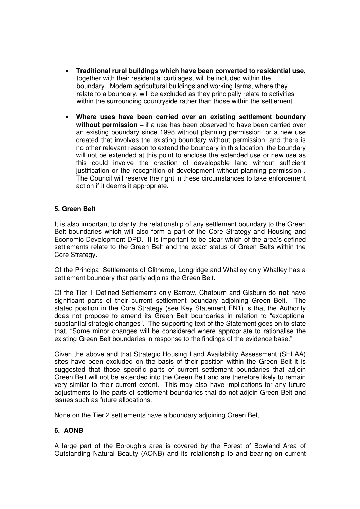- **Traditional rural buildings which have been converted to residential use**, together with their residential curtilages, will be included within the boundary. Modern agricultural buildings and working farms, where they relate to a boundary, will be excluded as they principally relate to activities within the surrounding countryside rather than those within the settlement.
- **Where uses have been carried over an existing settlement boundary without permission –** if a use has been observed to have been carried over an existing boundary since 1998 without planning permission, or a new use created that involves the existing boundary without permission, and there is no other relevant reason to extend the boundary in this location, the boundary will not be extended at this point to enclose the extended use or new use as this could involve the creation of developable land without sufficient justification or the recognition of development without planning permission . The Council will reserve the right in these circumstances to take enforcement action if it deems it appropriate.

# **5. Green Belt**

It is also important to clarify the relationship of any settlement boundary to the Green Belt boundaries which will also form a part of the Core Strategy and Housing and Economic Development DPD. It is important to be clear which of the area's defined settlements relate to the Green Belt and the exact status of Green Belts within the Core Strategy.

Of the Principal Settlements of Clitheroe, Longridge and Whalley only Whalley has a settlement boundary that partly adjoins the Green Belt.

Of the Tier 1 Defined Settlements only Barrow, Chatburn and Gisburn do **not** have significant parts of their current settlement boundary adjoining Green Belt. The stated position in the Core Strategy (see Key Statement EN1) is that the Authority does not propose to amend its Green Belt boundaries in relation to "exceptional substantial strategic changes". The supporting text of the Statement goes on to state that, "Some minor changes will be considered where appropriate to rationalise the existing Green Belt boundaries in response to the findings of the evidence base."

Given the above and that Strategic Housing Land Availability Assessment (SHLAA) sites have been excluded on the basis of their position within the Green Belt it is suggested that those specific parts of current settlement boundaries that adjoin Green Belt will not be extended into the Green Belt and are therefore likely to remain very similar to their current extent. This may also have implications for any future adjustments to the parts of settlement boundaries that do not adjoin Green Belt and issues such as future allocations.

None on the Tier 2 settlements have a boundary adjoining Green Belt.

## **6. AONB**

A large part of the Borough's area is covered by the Forest of Bowland Area of Outstanding Natural Beauty (AONB) and its relationship to and bearing on current